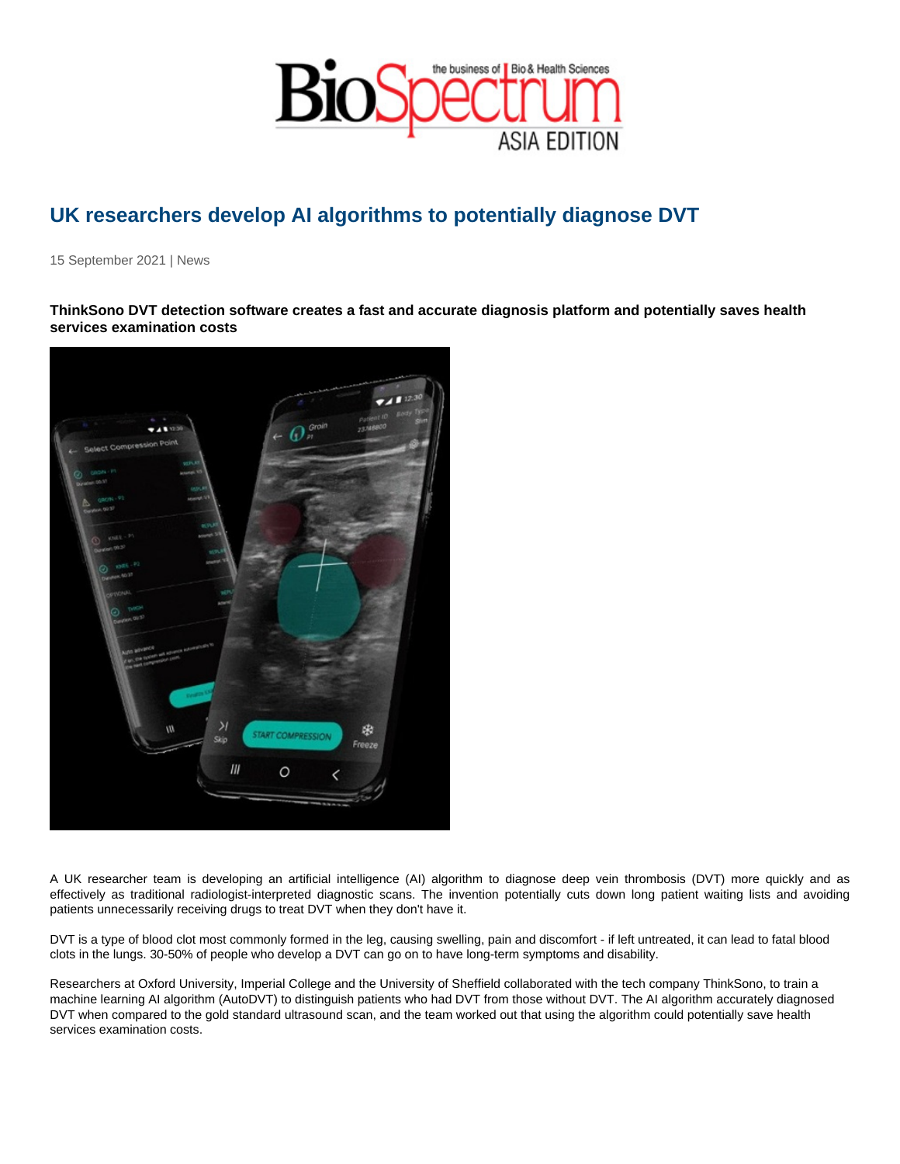## UK researchers develop AI algorithms to potentially diagnose DVT

15 September 2021 | News

ThinkSono DVT detection software creates a fast and accurate diagnosis platform and potentially saves health services examination costs

A UK researcher team is developing an artificial intelligence (AI) algorithm to diagnose deep vein thrombosis (DVT) more quickly and as effectively as traditional radiologist-interpreted diagnostic scans. The invention potentially cuts down long patient waiting lists and avoiding patients unnecessarily receiving drugs to treat DVT when they don't have it.

DVT is a type of blood clot most commonly formed in the leg, causing swelling, pain and discomfort - if left untreated, it can lead to fatal blood clots in the lungs. 30-50% of people who develop a DVT can go on to have long-term symptoms and disability.

Researchers at Oxford University, Imperial College and the University of Sheffield collaborated with the tech company ThinkSono, to train a machine learning AI algorithm (AutoDVT) to distinguish patients who had DVT from those without DVT. The AI algorithm accurately diagnosed DVT when compared to the gold standard ultrasound scan, and the team worked out that using the algorithm could potentially save health services examination costs.